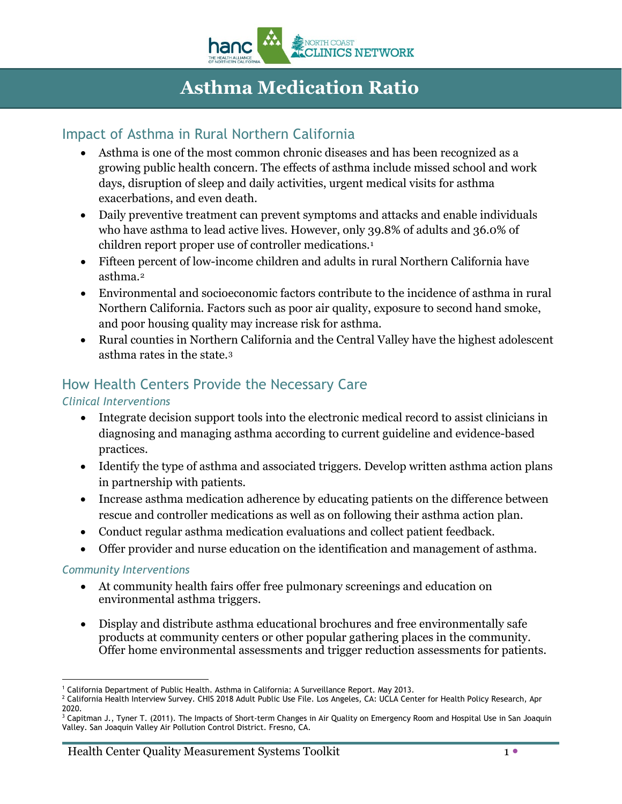

# **Asthma Medication Ratio**

## Impact of Asthma in Rural Northern California

- Asthma is one of the most common chronic diseases and has been recognized as a growing public health concern. The effects of asthma include missed school and work days, disruption of sleep and daily activities, urgent medical visits for asthma exacerbations, and even death.
- Daily preventive treatment can prevent symptoms and attacks and enable individuals who have asthma to lead active lives. However, only 39.8% of adults and 36.0% of children report proper use of controller medications.<sup>[1](#page-0-0)</sup>
- Fifteen percent of low-income children and adults in rural Northern California have asthma.[2](#page-0-1)
- Environmental and socioeconomic factors contribute to the incidence of asthma in rural Northern California. Factors such as poor air quality, exposure to second hand smoke, and poor housing quality may increase risk for asthma.
- Rural counties in Northern California and the Central Valley have the highest adolescent asthma rates in the state.[3](#page-0-2)

## How Health Centers Provide the Necessary Care

### *Clinical Interventions*

- Integrate decision support tools into the electronic medical record to assist clinicians in diagnosing and managing asthma according to current guideline and evidence-based practices.
- Identify the type of asthma and associated triggers. Develop written asthma action plans in partnership with patients.
- Increase asthma medication adherence by educating patients on the difference between rescue and controller medications as well as on following their asthma action plan.
- Conduct regular asthma medication evaluations and collect patient feedback.
- Offer provider and nurse education on the identification and management of asthma.

### *Community Interventions*

- At community health fairs offer free pulmonary screenings and education on environmental asthma triggers.
- Display and distribute asthma educational brochures and free environmentally safe products at community centers or other popular gathering places in the community. Offer home environmental assessments and trigger reduction assessments for patients.

**<sup>-</sup>**<sup>1</sup> California Department of Public Health. Asthma in California: A Surveillance Report. May 2013.

<span id="page-0-1"></span><span id="page-0-0"></span><sup>2</sup> California Health Interview Survey. CHIS 2018 Adult Public Use File. Los Angeles, CA: UCLA Center for Health Policy Research, Apr 2020.<br><sup>3</sup> Capitman J., Tyner T. (2011). The Impacts of Short-term Changes in Air Quality on Emergency Room and Hospital Use in San Joaquin

<span id="page-0-2"></span>Valley. San Joaquin Valley Air Pollution Control District. Fresno, CA.